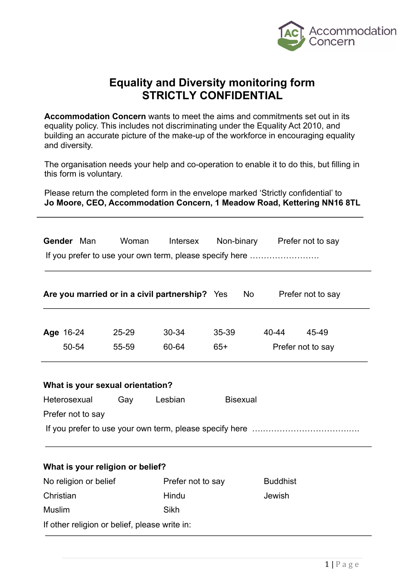

# **Equality and Diversity monitoring form STRICTLY CONFIDENTIAL**

**Accommodation Concern** wants to meet the aims and commitments set out in its equality policy. This includes not discriminating under the Equality Act 2010, and building an accurate picture of the make-up of the workforce in encouraging equality and diversity.

The organisation needs your help and co-operation to enable it to do this, but filling in this form is voluntary.

Please return the completed form in the envelope marked 'Strictly confidential' to **Jo Moore, CEO, Accommodation Concern, 1 Meadow Road, Kettering NN16 8TL**

| Gender Man                                                                     |                                               | Woman                            | Intersex<br>If you prefer to use your own term, please specify here |       |                 |       | Non-binary Prefer not to say |
|--------------------------------------------------------------------------------|-----------------------------------------------|----------------------------------|---------------------------------------------------------------------|-------|-----------------|-------|------------------------------|
|                                                                                |                                               |                                  | Are you married or in a civil partnership? Yes                      |       | No              |       | Prefer not to say            |
| Age 16-24                                                                      |                                               | $25 - 29$                        | $30 - 34$                                                           | 35-39 |                 | 40-44 | 45-49                        |
| 50-54<br>60-64<br>55-59<br>$65+$                                               |                                               |                                  | Prefer not to say                                                   |       |                 |       |                              |
|                                                                                |                                               | What is your sexual orientation? |                                                                     |       |                 |       |                              |
| Heterosexual                                                                   |                                               | Gay                              | Lesbian                                                             |       | <b>Bisexual</b> |       |                              |
| Prefer not to say                                                              |                                               |                                  |                                                                     |       |                 |       |                              |
|                                                                                |                                               |                                  |                                                                     |       |                 |       |                              |
|                                                                                |                                               |                                  |                                                                     |       |                 |       |                              |
| What is your religion or belief?<br>No religion or belief<br>Prefer not to say |                                               |                                  |                                                                     |       | <b>Buddhist</b> |       |                              |
| Christian                                                                      |                                               | Hindu                            |                                                                     |       | Jewish          |       |                              |
| <b>Muslim</b>                                                                  |                                               |                                  | Sikh                                                                |       |                 |       |                              |
|                                                                                | If other religion or belief, please write in: |                                  |                                                                     |       |                 |       |                              |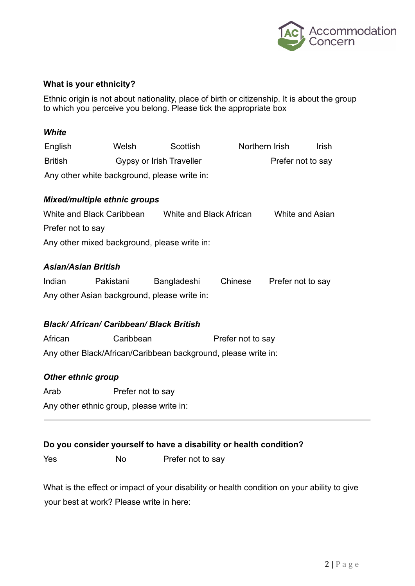

# **What is your ethnicity?**

Ethnic origin is not about nationality, place of birth or citizenship. It is about the group to which you perceive you belong. Please tick the appropriate box

#### *White*

| English                                      | Welsh                    | Scottish | Northern Irish    | Irish |
|----------------------------------------------|--------------------------|----------|-------------------|-------|
| <b>British</b>                               | Gypsy or Irish Traveller |          | Prefer not to say |       |
| Any other white background, please write in: |                          |          |                   |       |

# *Mixed/multiple ethnic groups*

| White and Black Caribbean                    | White and Black African | White and Asian |
|----------------------------------------------|-------------------------|-----------------|
| Prefer not to say                            |                         |                 |
| Any other mixed background, please write in: |                         |                 |

# *Asian/Asian British*

| Indian                                       | Pakistani | Bangladeshi | Chinese | Prefer not to say |
|----------------------------------------------|-----------|-------------|---------|-------------------|
| Any other Asian background, please write in: |           |             |         |                   |

# *Black/ African/ Caribbean/ Black British*

African Caribbean **Prefer not to say** Any other Black/African/Caribbean background, please write in:

# *Other ethnic group*

Arab Prefer not to say

Any other ethnic group, please write in:

# **Do you consider yourself to have a disability or health condition?**

Yes No Prefer not to say

What is the effect or impact of your disability or health condition on your ability to give your best at work? Please write in here: